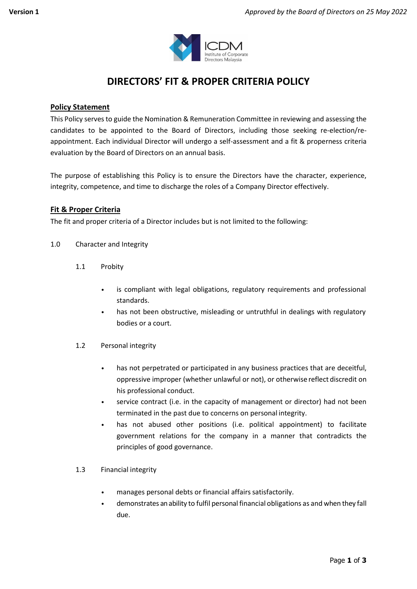

# **DIRECTORS' FIT & PROPER CRITERIA POLICY**

## **Policy Statement**

This Policy serves to guide the Nomination & Remuneration Committee in reviewing and assessing the candidates to be appointed to the Board of Directors, including those seeking re-election/reappointment. Each individual Director will undergo a self-assessment and a fit & properness criteria evaluation by the Board of Directors on an annual basis.

The purpose of establishing this Policy is to ensure the Directors have the character, experience, integrity, competence, and time to discharge the roles of a Company Director effectively.

## **Fit & Proper Criteria**

The fit and proper criteria of a Director includes but is not limited to the following:

- 1.0 Character and Integrity
	- 1.1 Probity
		- is compliant with legal obligations, regulatory requirements and professional standards.
		- has not been obstructive, misleading or untruthful in dealings with regulatory bodies or a court.
	- 1.2 Personal integrity
		- has not perpetrated or participated in any business practices that are deceitful, oppressive improper (whether unlawful or not), or otherwise reflect discredit on his professional conduct.
		- service contract (i.e. in the capacity of management or director) had not been terminated in the past due to concerns on personal integrity.
		- has not abused other positions (i.e. political appointment) to facilitate government relations for the company in a manner that contradicts the principles of good governance.
	- 1.3 Financial integrity
		- manages personal debts or financial affairs satisfactorily.
		- demonstrates an ability to fulfil personal financial obligations as and when they fall due.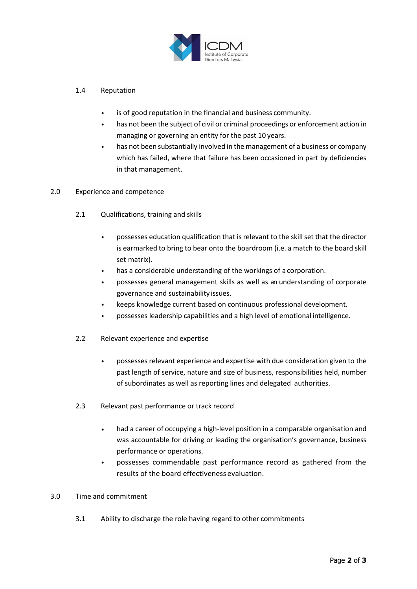

#### 1.4 Reputation

- is of good reputation in the financial and business community.
- has not been the subject of civil or criminal proceedings or enforcement action in managing or governing an entity for the past 10 years.
- has not been substantially involved in the management of a business or company which has failed, where that failure has been occasioned in part by deficiencies in that management.

#### 2.0 Experience and competence

- 2.1 Qualifications, training and skills
	- possesses education qualification that is relevant to the skill set that the director is earmarked to bring to bear onto the boardroom (i.e. a match to the board skill set matrix).
	- has a considerable understanding of the workings of a corporation.
	- possesses general management skills as well as an understanding of corporate governance and sustainability issues.
	- keeps knowledge current based on continuous professional development.
	- possesses leadership capabilities and a high level of emotional intelligence.
- 2.2 Relevant experience and expertise
	- possesses relevant experience and expertise with due consideration given to the past length of service, nature and size of business, responsibilities held, number of subordinates as well as reporting lines and delegated authorities.
- 2.3 Relevant past performance or track record
	- had a career of occupying a high-level position in a comparable organisation and was accountable for driving or leading the organisation's governance, business performance or operations.
	- possesses commendable past performance record as gathered from the results of the board effectiveness evaluation.

#### 3.0 Time and commitment

3.1 Ability to discharge the role having regard to other commitments